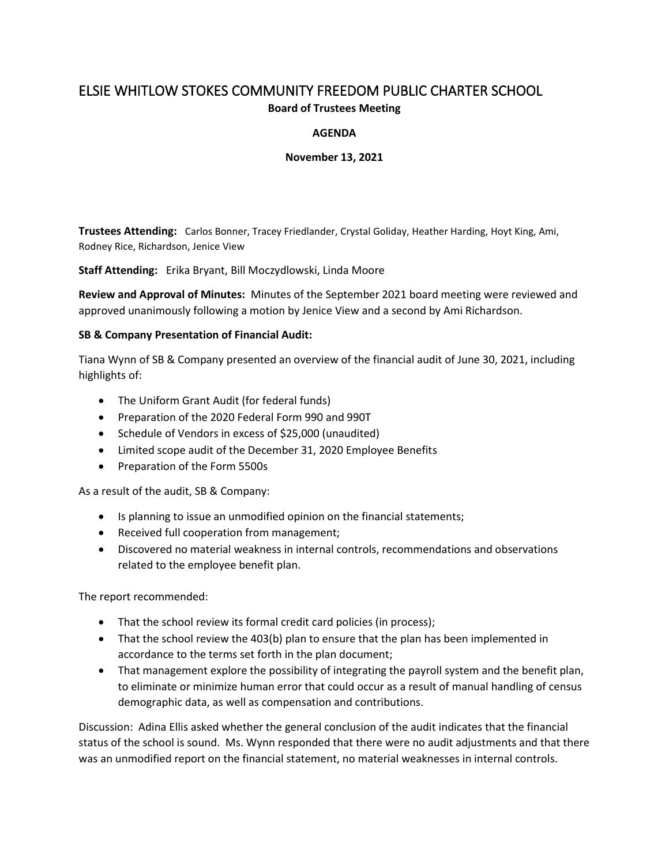# ELSIE WHITLOW STOKES COMMUNITY FREEDOM PUBLIC CHARTER SCHOOL

**Board of Trustees Meeting**

### **AGENDA**

#### **November 13, 2021**

**Trustees Attending:** Carlos Bonner, Tracey Friedlander, Crystal Goliday, Heather Harding, Hoyt King, Ami, Rodney Rice, Richardson, Jenice View

**Staff Attending:** Erika Bryant, Bill Moczydlowski, Linda Moore

**Review and Approval of Minutes:** Minutes of the September 2021 board meeting were reviewed and approved unanimously following a motion by Jenice View and a second by Ami Richardson.

#### **SB & Company Presentation of Financial Audit:**

Tiana Wynn of SB & Company presented an overview of the financial audit of June 30, 2021, including highlights of:

- The Uniform Grant Audit (for federal funds)
- Preparation of the 2020 Federal Form 990 and 990T
- Schedule of Vendors in excess of \$25,000 (unaudited)
- Limited scope audit of the December 31, 2020 Employee Benefits
- Preparation of the Form 5500s

As a result of the audit, SB & Company:

- Is planning to issue an unmodified opinion on the financial statements;
- Received full cooperation from management;
- Discovered no material weakness in internal controls, recommendations and observations related to the employee benefit plan.

The report recommended:

- That the school review its formal credit card policies (in process);
- That the school review the 403(b) plan to ensure that the plan has been implemented in accordance to the terms set forth in the plan document;
- That management explore the possibility of integrating the payroll system and the benefit plan, to eliminate or minimize human error that could occur as a result of manual handling of census demographic data, as well as compensation and contributions.

Discussion: Adina Ellis asked whether the general conclusion of the audit indicates that the financial status of the school is sound. Ms. Wynn responded that there were no audit adjustments and that there was an unmodified report on the financial statement, no material weaknesses in internal controls.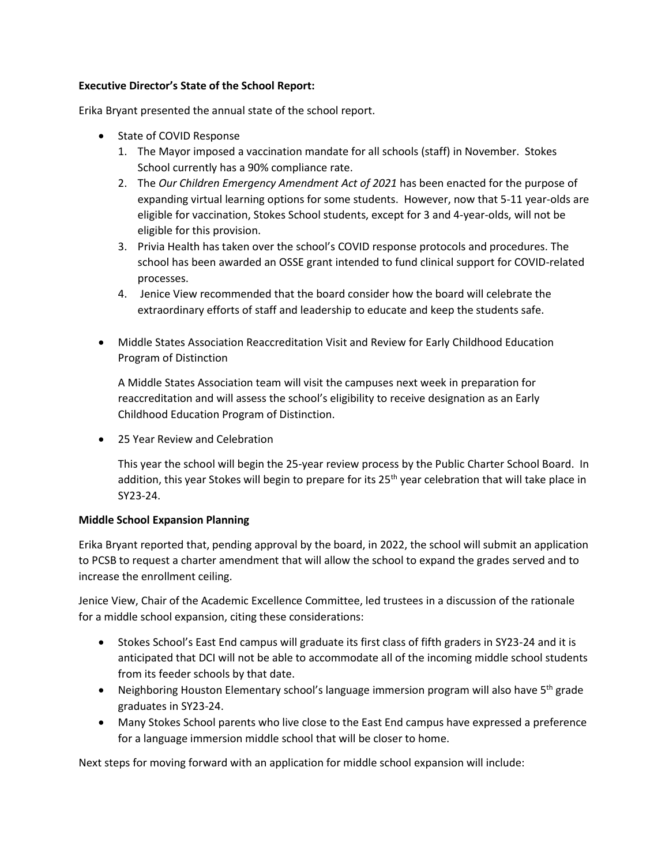#### **Executive Director's State of the School Report:**

Erika Bryant presented the annual state of the school report.

- State of COVID Response
	- 1. The Mayor imposed a vaccination mandate for all schools (staff) in November. Stokes School currently has a 90% compliance rate.
	- 2. The *Our Children Emergency Amendment Act of 2021* has been enacted for the purpose of expanding virtual learning options for some students. However, now that 5-11 year-olds are eligible for vaccination, Stokes School students, except for 3 and 4-year-olds, will not be eligible for this provision.
	- 3. Privia Health has taken over the school's COVID response protocols and procedures. The school has been awarded an OSSE grant intended to fund clinical support for COVID-related processes.
	- 4. Jenice View recommended that the board consider how the board will celebrate the extraordinary efforts of staff and leadership to educate and keep the students safe.
- Middle States Association Reaccreditation Visit and Review for Early Childhood Education Program of Distinction

A Middle States Association team will visit the campuses next week in preparation for reaccreditation and will assess the school's eligibility to receive designation as an Early Childhood Education Program of Distinction.

25 Year Review and Celebration

This year the school will begin the 25-year review process by the Public Charter School Board. In addition, this year Stokes will begin to prepare for its 25<sup>th</sup> year celebration that will take place in SY23-24.

## **Middle School Expansion Planning**

Erika Bryant reported that, pending approval by the board, in 2022, the school will submit an application to PCSB to request a charter amendment that will allow the school to expand the grades served and to increase the enrollment ceiling.

Jenice View, Chair of the Academic Excellence Committee, led trustees in a discussion of the rationale for a middle school expansion, citing these considerations:

- Stokes School's East End campus will graduate its first class of fifth graders in SY23-24 and it is anticipated that DCI will not be able to accommodate all of the incoming middle school students from its feeder schools by that date.
- Neighboring Houston Elementary school's language immersion program will also have  $5<sup>th</sup>$  grade graduates in SY23-24.
- Many Stokes School parents who live close to the East End campus have expressed a preference for a language immersion middle school that will be closer to home.

Next steps for moving forward with an application for middle school expansion will include: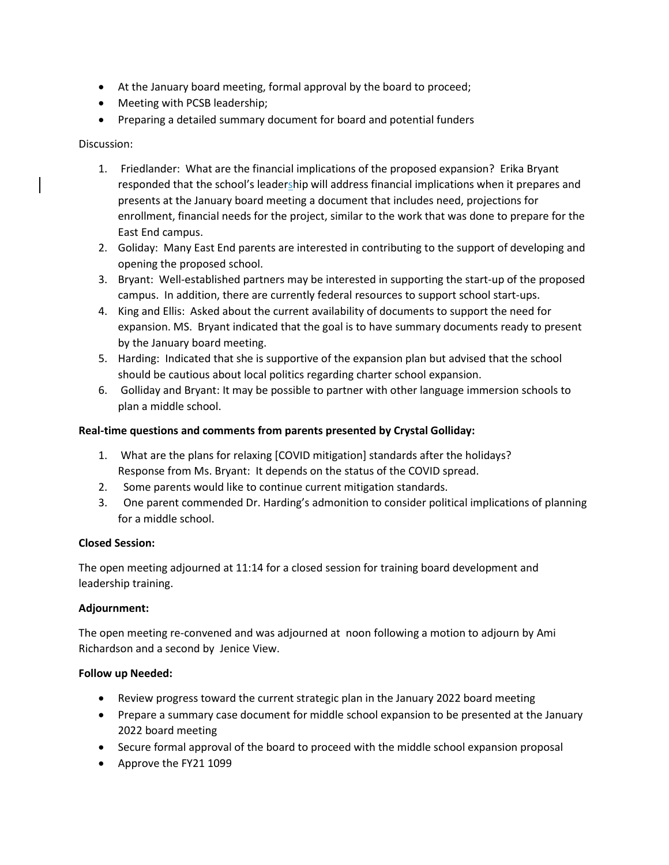- At the January board meeting, formal approval by the board to proceed;
- Meeting with PCSB leadership;
- Preparing a detailed summary document for board and potential funders

#### Discussion:

- 1. Friedlander: What are the financial implications of the proposed expansion? Erika Bryant responded that the school's leadership will address financial implications when it prepares and presents at the January board meeting a document that includes need, projections for enrollment, financial needs for the project, similar to the work that was done to prepare for the East End campus.
- 2. Goliday: Many East End parents are interested in contributing to the support of developing and opening the proposed school.
- 3. Bryant: Well-established partners may be interested in supporting the start-up of the proposed campus. In addition, there are currently federal resources to support school start-ups.
- 4. King and Ellis: Asked about the current availability of documents to support the need for expansion. MS. Bryant indicated that the goal is to have summary documents ready to present by the January board meeting.
- 5. Harding: Indicated that she is supportive of the expansion plan but advised that the school should be cautious about local politics regarding charter school expansion.
- 6. Golliday and Bryant: It may be possible to partner with other language immersion schools to plan a middle school.

#### **Real-time questions and comments from parents presented by Crystal Golliday:**

- 1. What are the plans for relaxing [COVID mitigation] standards after the holidays? Response from Ms. Bryant: It depends on the status of the COVID spread.
- 2. Some parents would like to continue current mitigation standards.
- 3. One parent commended Dr. Harding's admonition to consider political implications of planning for a middle school.

#### **Closed Session:**

The open meeting adjourned at 11:14 for a closed session for training board development and leadership training.

#### **Adjournment:**

The open meeting re-convened and was adjourned at noon following a motion to adjourn by Ami Richardson and a second by Jenice View.

#### **Follow up Needed:**

- Review progress toward the current strategic plan in the January 2022 board meeting
- Prepare a summary case document for middle school expansion to be presented at the January 2022 board meeting
- Secure formal approval of the board to proceed with the middle school expansion proposal
- Approve the FY21 1099